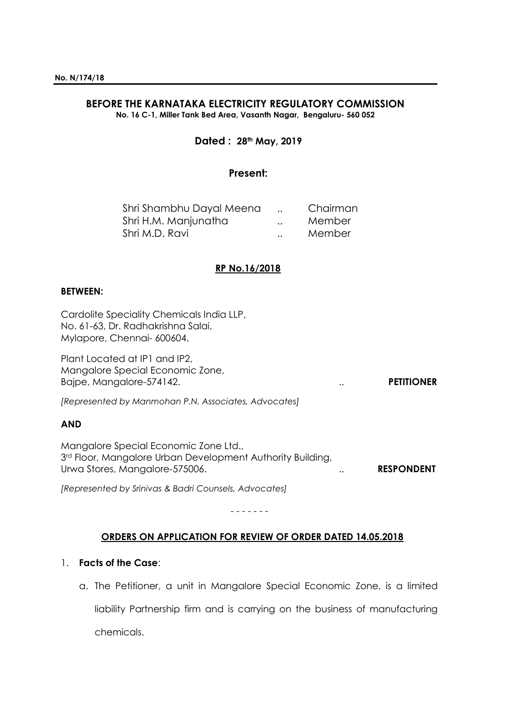# **BEFORE THE KARNATAKA ELECTRICITY REGULATORY COMMISSION**

**No. 16 C-1, Miller Tank Bed Area, Vasanth Nagar, Bengaluru- 560 052**

## **Dated : 28th May, 2019**

## **Present:**

| Shri Shambhu Dayal Meena |                      | Chairman |
|--------------------------|----------------------|----------|
| Shri H.M. Manjunatha     | $\ddot{\phantom{0}}$ | Member   |
| Shri M.D. Ravi           | $\ddot{\phantom{0}}$ | Member   |

## **RP No.16/2018**

#### **BETWEEN:**

Cardolite Speciality Chemicals India LLP, No. 61-63, Dr. Radhakrishna Salai, Mylapore, Chennai- 600604.

Plant Located at IP1 and IP2, Mangalore Special Economic Zone, Bajpe, Mangalore-574142. .. **PETITIONER**

*[Represented by Manmohan P.N. Associates, Advocates]*

## **AND**

Mangalore Special Economic Zone Ltd., 3<sup>rd</sup> Floor, Mangalore Urban Development Authority Building, Urwa Stores, Mangalore-575006. .. **RESPONDENT**

*[Represented by Srinivas & Badri Counsels, Advocates]*

## **ORDERS ON APPLICATION FOR REVIEW OF ORDER DATED 14.05.2018**

- - - - - - -

## 1. **Facts of the Case**:

a. The Petitioner, a unit in Mangalore Special Economic Zone, is a limited liability Partnership firm and is carrying on the business of manufacturing chemicals.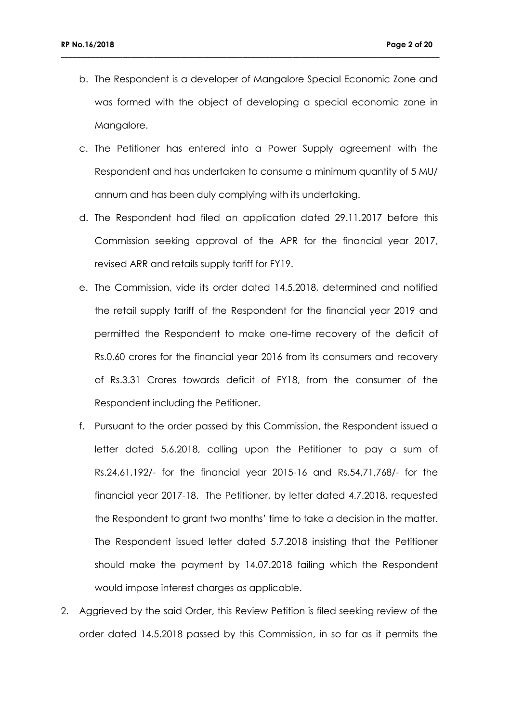b. The Respondent is a developer of Mangalore Special Economic Zone and was formed with the object of developing a special economic zone in Mangalore.

- c. The Petitioner has entered into a Power Supply agreement with the Respondent and has undertaken to consume a minimum quantity of 5 MU/ annum and has been duly complying with its undertaking.
- d. The Respondent had filed an application dated 29.11.2017 before this Commission seeking approval of the APR for the financial year 2017, revised ARR and retails supply tariff for FY19.
- e. The Commission, vide its order dated 14.5.2018, determined and notified the retail supply tariff of the Respondent for the financial year 2019 and permitted the Respondent to make one-time recovery of the deficit of Rs.0.60 crores for the financial year 2016 from its consumers and recovery of Rs.3.31 Crores towards deficit of FY18, from the consumer of the Respondent including the Petitioner.
- f. Pursuant to the order passed by this Commission, the Respondent issued a letter dated 5.6.2018, calling upon the Petitioner to pay a sum of Rs.24,61,192/- for the financial year 2015-16 and Rs.54,71,768/- for the financial year 2017-18. The Petitioner, by letter dated 4.7.2018, requested the Respondent to grant two months' time to take a decision in the matter. The Respondent issued letter dated 5.7.2018 insisting that the Petitioner should make the payment by 14.07.2018 failing which the Respondent would impose interest charges as applicable.
- 2. Aggrieved by the said Order, this Review Petition is filed seeking review of the order dated 14.5.2018 passed by this Commission, in so far as it permits the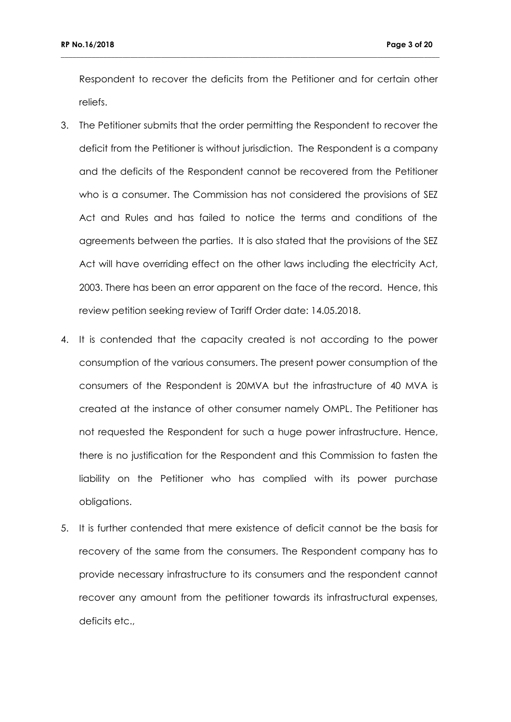Respondent to recover the deficits from the Petitioner and for certain other reliefs.

- 3. The Petitioner submits that the order permitting the Respondent to recover the deficit from the Petitioner is without jurisdiction. The Respondent is a company and the deficits of the Respondent cannot be recovered from the Petitioner who is a consumer. The Commission has not considered the provisions of SEZ Act and Rules and has failed to notice the terms and conditions of the agreements between the parties. It is also stated that the provisions of the SEZ Act will have overriding effect on the other laws including the electricity Act, 2003. There has been an error apparent on the face of the record. Hence, this review petition seeking review of Tariff Order date: 14.05.2018.
- 4. It is contended that the capacity created is not according to the power consumption of the various consumers. The present power consumption of the consumers of the Respondent is 20MVA but the infrastructure of 40 MVA is created at the instance of other consumer namely OMPL. The Petitioner has not requested the Respondent for such a huge power infrastructure. Hence, there is no justification for the Respondent and this Commission to fasten the liability on the Petitioner who has complied with its power purchase obligations.
- 5. It is further contended that mere existence of deficit cannot be the basis for recovery of the same from the consumers. The Respondent company has to provide necessary infrastructure to its consumers and the respondent cannot recover any amount from the petitioner towards its infrastructural expenses, deficits etc.,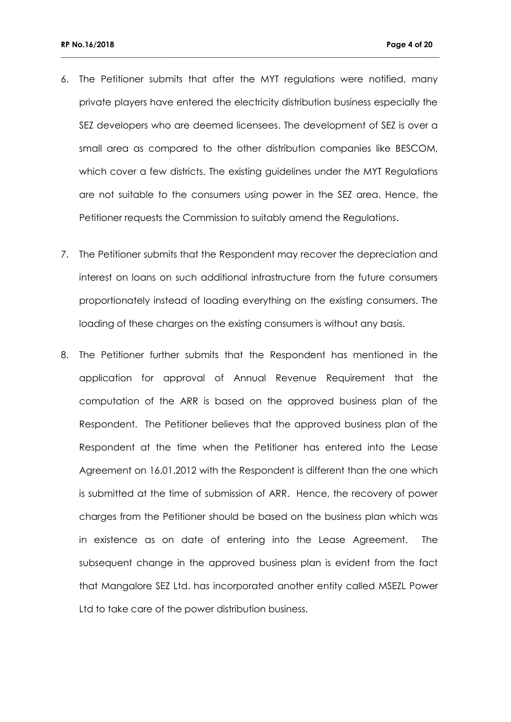6. The Petitioner submits that after the MYT regulations were notified, many private players have entered the electricity distribution business especially the SEZ developers who are deemed licensees. The development of SEZ is over a small area as compared to the other distribution companies like BESCOM, which cover a few districts. The existing guidelines under the MYT Regulations are not suitable to the consumers using power in the SEZ area. Hence, the Petitioner requests the Commission to suitably amend the Regulations.

- 7. The Petitioner submits that the Respondent may recover the depreciation and interest on loans on such additional infrastructure from the future consumers proportionately instead of loading everything on the existing consumers. The loading of these charges on the existing consumers is without any basis.
- 8. The Petitioner further submits that the Respondent has mentioned in the application for approval of Annual Revenue Requirement that the computation of the ARR is based on the approved business plan of the Respondent. The Petitioner believes that the approved business plan of the Respondent at the time when the Petitioner has entered into the Lease Agreement on 16.01.2012 with the Respondent is different than the one which is submitted at the time of submission of ARR. Hence, the recovery of power charges from the Petitioner should be based on the business plan which was in existence as on date of entering into the Lease Agreement. The subsequent change in the approved business plan is evident from the fact that Mangalore SEZ Ltd. has incorporated another entity called MSEZL Power Ltd to take care of the power distribution business.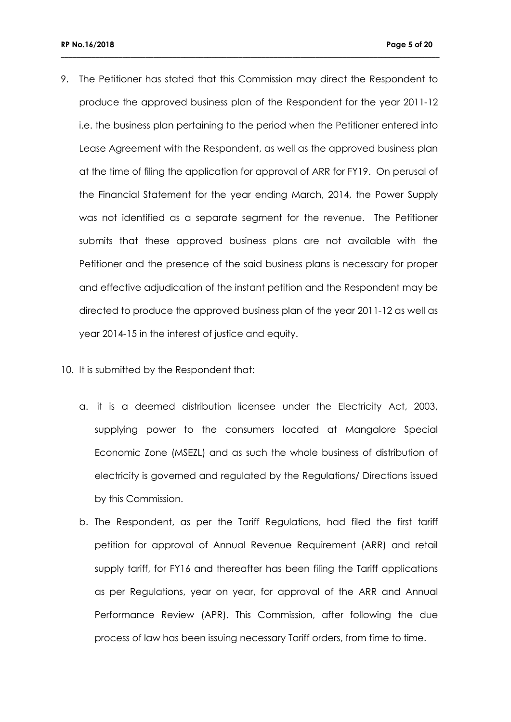9. The Petitioner has stated that this Commission may direct the Respondent to produce the approved business plan of the Respondent for the year 2011-12 i.e. the business plan pertaining to the period when the Petitioner entered into Lease Agreement with the Respondent, as well as the approved business plan at the time of filing the application for approval of ARR for FY19. On perusal of the Financial Statement for the year ending March, 2014, the Power Supply was not identified as a separate segment for the revenue. The Petitioner submits that these approved business plans are not available with the Petitioner and the presence of the said business plans is necessary for proper and effective adjudication of the instant petition and the Respondent may be directed to produce the approved business plan of the year 2011-12 as well as year 2014-15 in the interest of justice and equity.

- 10. It is submitted by the Respondent that:
	- a. it is a deemed distribution licensee under the Electricity Act, 2003, supplying power to the consumers located at Mangalore Special Economic Zone (MSEZL) and as such the whole business of distribution of electricity is governed and regulated by the Regulations/ Directions issued by this Commission.
	- b. The Respondent, as per the Tariff Regulations, had filed the first tariff petition for approval of Annual Revenue Requirement (ARR) and retail supply tariff, for FY16 and thereafter has been filing the Tariff applications as per Regulations, year on year, for approval of the ARR and Annual Performance Review (APR). This Commission, after following the due process of law has been issuing necessary Tariff orders, from time to time.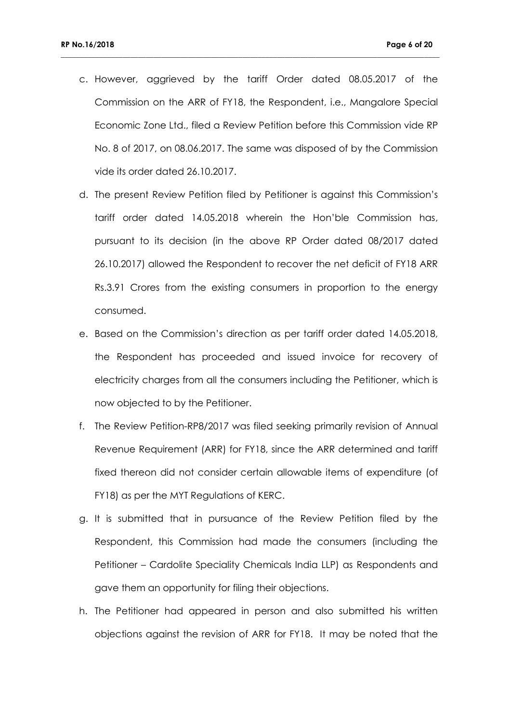c. However, aggrieved by the tariff Order dated 08.05.2017 of the Commission on the ARR of FY18, the Respondent, i.e., Mangalore Special Economic Zone Ltd., filed a Review Petition before this Commission vide RP No. 8 of 2017, on 08.06.2017. The same was disposed of by the Commission vide its order dated 26.10.2017.

- d. The present Review Petition filed by Petitioner is against this Commission's tariff order dated 14.05.2018 wherein the Hon'ble Commission has, pursuant to its decision (in the above RP Order dated 08/2017 dated 26.10.2017) allowed the Respondent to recover the net deficit of FY18 ARR Rs.3.91 Crores from the existing consumers in proportion to the energy consumed.
- e. Based on the Commission's direction as per tariff order dated 14.05.2018, the Respondent has proceeded and issued invoice for recovery of electricity charges from all the consumers including the Petitioner, which is now objected to by the Petitioner.
- f. The Review Petition-RP8/2017 was filed seeking primarily revision of Annual Revenue Requirement (ARR) for FY18, since the ARR determined and tariff fixed thereon did not consider certain allowable items of expenditure (of FY18) as per the MYT Regulations of KERC.
- g. It is submitted that in pursuance of the Review Petition filed by the Respondent, this Commission had made the consumers (including the Petitioner – Cardolite Speciality Chemicals India LLP) as Respondents and gave them an opportunity for filing their objections.
- h. The Petitioner had appeared in person and also submitted his written objections against the revision of ARR for FY18. It may be noted that the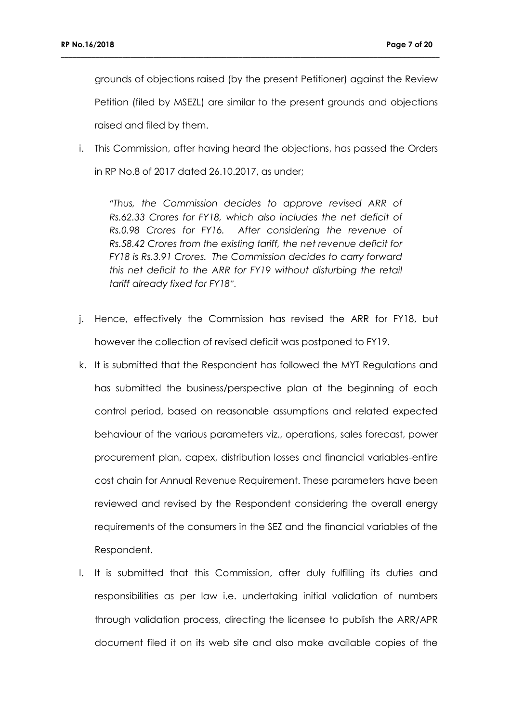grounds of objections raised (by the present Petitioner) against the Review Petition (filed by MSEZL) are similar to the present grounds and objections raised and filed by them.

**\_\_\_\_\_\_\_\_\_\_\_\_\_\_\_\_\_\_\_\_\_\_\_\_\_\_\_\_\_\_\_\_\_\_\_\_\_\_\_\_\_\_\_\_\_\_\_\_\_\_\_\_\_\_\_\_\_\_\_\_\_\_\_\_\_\_\_\_\_\_\_\_\_\_\_\_\_\_\_\_\_\_\_\_\_\_\_\_\_\_\_\_\_\_\_\_\_\_**

i. This Commission, after having heard the objections, has passed the Orders in RP No.8 of 2017 dated 26.10.2017, as under;

"*Thus, the Commission decides to approve revised ARR of Rs.62.33 Crores for FY18, which also includes the net deficit of Rs.0.98 Crores for FY16. After considering the revenue of Rs.58.42 Crores from the existing tariff, the net revenue deficit for FY18 is Rs.3.91 Crores. The Commission decides to carry forward this net deficit to the ARR for FY19 without disturbing the retail tariff already fixed for FY18".*

- j. Hence, effectively the Commission has revised the ARR for FY18, but however the collection of revised deficit was postponed to FY19.
- k. It is submitted that the Respondent has followed the MYT Regulations and has submitted the business/perspective plan at the beginning of each control period, based on reasonable assumptions and related expected behaviour of the various parameters viz., operations, sales forecast, power procurement plan, capex, distribution losses and financial variables-entire cost chain for Annual Revenue Requirement. These parameters have been reviewed and revised by the Respondent considering the overall energy requirements of the consumers in the SEZ and the financial variables of the Respondent.
- l. It is submitted that this Commission, after duly fulfilling its duties and responsibilities as per law i.e. undertaking initial validation of numbers through validation process, directing the licensee to publish the ARR/APR document filed it on its web site and also make available copies of the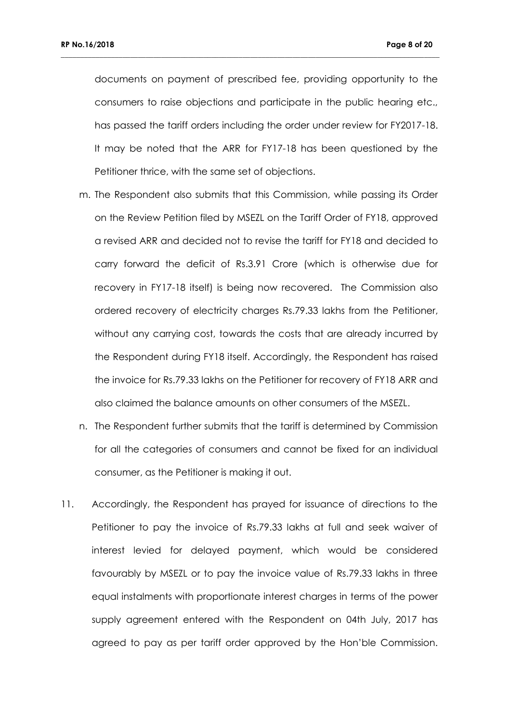documents on payment of prescribed fee, providing opportunity to the consumers to raise objections and participate in the public hearing etc., has passed the tariff orders including the order under review for FY2017-18. It may be noted that the ARR for FY17-18 has been questioned by the Petitioner thrice, with the same set of objections.

- m. The Respondent also submits that this Commission, while passing its Order on the Review Petition filed by MSEZL on the Tariff Order of FY18, approved a revised ARR and decided not to revise the tariff for FY18 and decided to carry forward the deficit of Rs.3.91 Crore (which is otherwise due for recovery in FY17-18 itself) is being now recovered. The Commission also ordered recovery of electricity charges Rs.79.33 lakhs from the Petitioner, without any carrying cost, towards the costs that are already incurred by the Respondent during FY18 itself. Accordingly, the Respondent has raised the invoice for Rs.79.33 lakhs on the Petitioner for recovery of FY18 ARR and also claimed the balance amounts on other consumers of the MSEZL.
- n. The Respondent further submits that the tariff is determined by Commission for all the categories of consumers and cannot be fixed for an individual consumer, as the Petitioner is making it out.
- 11. Accordingly, the Respondent has prayed for issuance of directions to the Petitioner to pay the invoice of Rs.79.33 lakhs at full and seek waiver of interest levied for delayed payment, which would be considered favourably by MSEZL or to pay the invoice value of Rs.79.33 lakhs in three equal instalments with proportionate interest charges in terms of the power supply agreement entered with the Respondent on 04th July, 2017 has agreed to pay as per tariff order approved by the Hon'ble Commission.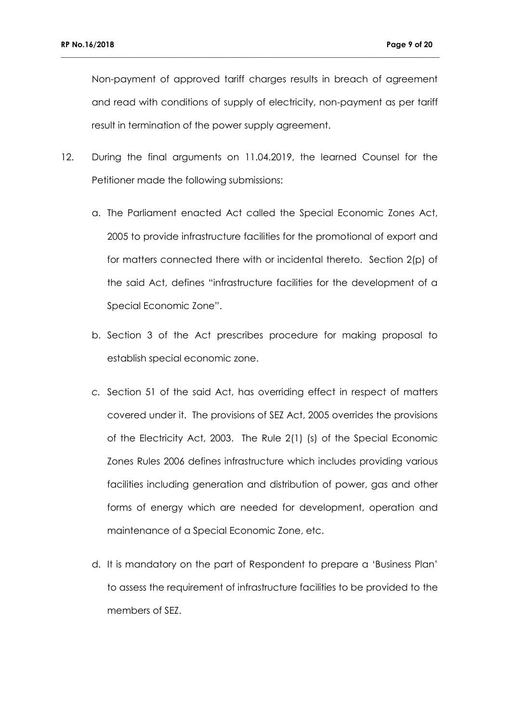Non-payment of approved tariff charges results in breach of agreement and read with conditions of supply of electricity, non-payment as per tariff result in termination of the power supply agreement.

12. During the final arguments on 11.04.2019, the learned Counsel for the Petitioner made the following submissions:

- a. The Parliament enacted Act called the Special Economic Zones Act, 2005 to provide infrastructure facilities for the promotional of export and for matters connected there with or incidental thereto. Section 2(p) of the said Act, defines "infrastructure facilities for the development of a Special Economic Zone".
- b. Section 3 of the Act prescribes procedure for making proposal to establish special economic zone.
- *c.* Section 51 of the said Act, has overriding effect in respect of matters covered under it. The provisions of SEZ Act, 2005 overrides the provisions of the Electricity Act, 2003. The Rule 2(1) (s) of the Special Economic Zones Rules 2006 defines infrastructure which includes providing various facilities including generation and distribution of power, gas and other forms of energy which are needed for development, operation and maintenance of a Special Economic Zone, etc.
- d. It is mandatory on the part of Respondent to prepare a 'Business Plan' to assess the requirement of infrastructure facilities to be provided to the members of SEZ.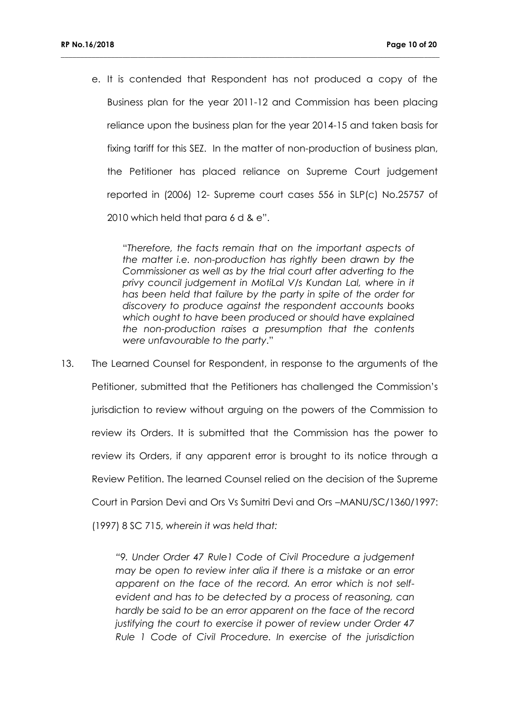e. It is contended that Respondent has not produced a copy of the Business plan for the year 2011-12 and Commission has been placing reliance upon the business plan for the year 2014-15 and taken basis for fixing tariff for this SEZ. In the matter of non-production of business plan, the Petitioner has placed reliance on Supreme Court judgement reported in (2006) 12- Supreme court cases 556 in SLP(c) No.25757 of 2010 which held that para 6 d & e".

**\_\_\_\_\_\_\_\_\_\_\_\_\_\_\_\_\_\_\_\_\_\_\_\_\_\_\_\_\_\_\_\_\_\_\_\_\_\_\_\_\_\_\_\_\_\_\_\_\_\_\_\_\_\_\_\_\_\_\_\_\_\_\_\_\_\_\_\_\_\_\_\_\_\_\_\_\_\_\_\_\_\_\_\_\_\_\_\_\_\_\_\_\_\_\_\_\_\_**

"*Therefore, the facts remain that on the important aspects of the matter i.e. non-production has rightly been drawn by the Commissioner as well as by the trial court after adverting to the*  privy council judgement in MotiLal V/s Kundan Lal, where in it *has been held that failure by the party in spite of the order for discovery to produce against the respondent accounts books which ought to have been produced or should have explained the non-production raises a presumption that the contents were unfavourable to the party*."

13. The Learned Counsel for Respondent, in response to the arguments of the Petitioner, submitted that the Petitioners has challenged the Commission's jurisdiction to review without arguing on the powers of the Commission to review its Orders. It is submitted that the Commission has the power to review its Orders, if any apparent error is brought to its notice through a Review Petition. The learned Counsel relied on the decision of the Supreme Court in Parsion Devi and Ors Vs Sumitri Devi and Ors –MANU/SC/1360/1997:

(1997) 8 SC 715, *wherein it was held that:*

*"9. Under Order 47 Rule1 Code of Civil Procedure a judgement may be open to review inter alia if there is a mistake or an error apparent on the face of the record. An error which is not selfevident and has to be detected by a process of reasoning, can hardly be said to be an error apparent on the face of the record justifying the court to exercise it power of review under Order 47 Rule 1 Code of Civil Procedure. In exercise of the jurisdiction*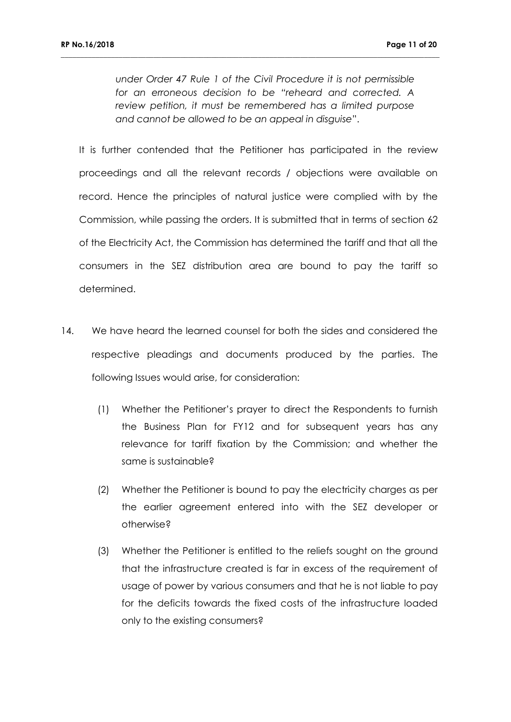*under Order 47 Rule 1 of the Civil Procedure it is not permissible for an erroneous decision to be "reheard and corrected. A review petition, it must be remembered has a limited purpose and cannot be allowed to be an appeal in disguise*".

**\_\_\_\_\_\_\_\_\_\_\_\_\_\_\_\_\_\_\_\_\_\_\_\_\_\_\_\_\_\_\_\_\_\_\_\_\_\_\_\_\_\_\_\_\_\_\_\_\_\_\_\_\_\_\_\_\_\_\_\_\_\_\_\_\_\_\_\_\_\_\_\_\_\_\_\_\_\_\_\_\_\_\_\_\_\_\_\_\_\_\_\_\_\_\_\_\_\_**

It is further contended that the Petitioner has participated in the review proceedings and all the relevant records / objections were available on record. Hence the principles of natural justice were complied with by the Commission, while passing the orders. It is submitted that in terms of section 62 of the Electricity Act, the Commission has determined the tariff and that all the consumers in the SEZ distribution area are bound to pay the tariff so determined.

- 14. We have heard the learned counsel for both the sides and considered the respective pleadings and documents produced by the parties. The following Issues would arise, for consideration:
	- (1) Whether the Petitioner's prayer to direct the Respondents to furnish the Business Plan for FY12 and for subsequent years has any relevance for tariff fixation by the Commission; and whether the same is sustainable?
	- (2) Whether the Petitioner is bound to pay the electricity charges as per the earlier agreement entered into with the SEZ developer or otherwise?
	- (3) Whether the Petitioner is entitled to the reliefs sought on the ground that the infrastructure created is far in excess of the requirement of usage of power by various consumers and that he is not liable to pay for the deficits towards the fixed costs of the infrastructure loaded only to the existing consumers?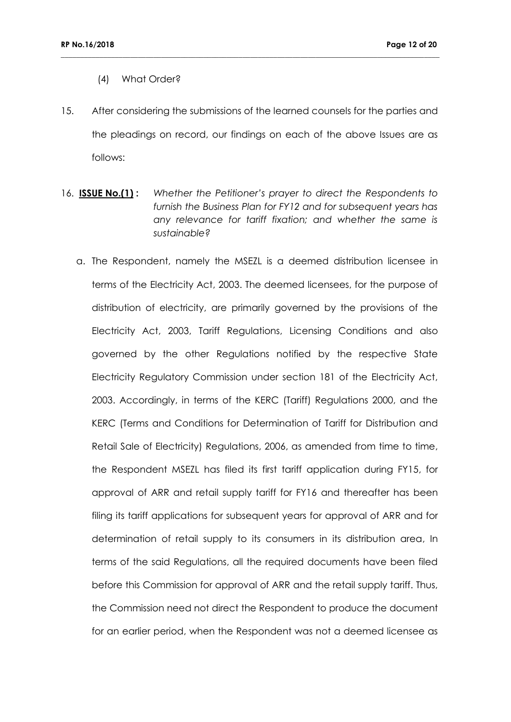- (4) What Order?
- 15. After considering the submissions of the learned counsels for the parties and the pleadings on record, our findings on each of the above Issues are as follows:

- 16. **ISSUE No.(1) :** *Whether the Petitioner's prayer to direct the Respondents to furnish the Business Plan for FY12 and for subsequent years has any relevance for tariff fixation; and whether the same is sustainable?*
	- a. The Respondent, namely the MSEZL is a deemed distribution licensee in terms of the Electricity Act, 2003. The deemed licensees, for the purpose of distribution of electricity, are primarily governed by the provisions of the Electricity Act, 2003, Tariff Regulations, Licensing Conditions and also governed by the other Regulations notified by the respective State Electricity Regulatory Commission under section 181 of the Electricity Act, 2003. Accordingly, in terms of the KERC (Tariff) Regulations 2000, and the KERC (Terms and Conditions for Determination of Tariff for Distribution and Retail Sale of Electricity) Regulations, 2006, as amended from time to time, the Respondent MSEZL has filed its first tariff application during FY15, for approval of ARR and retail supply tariff for FY16 and thereafter has been filing its tariff applications for subsequent years for approval of ARR and for determination of retail supply to its consumers in its distribution area, In terms of the said Regulations, all the required documents have been filed before this Commission for approval of ARR and the retail supply tariff. Thus, the Commission need not direct the Respondent to produce the document for an earlier period, when the Respondent was not a deemed licensee as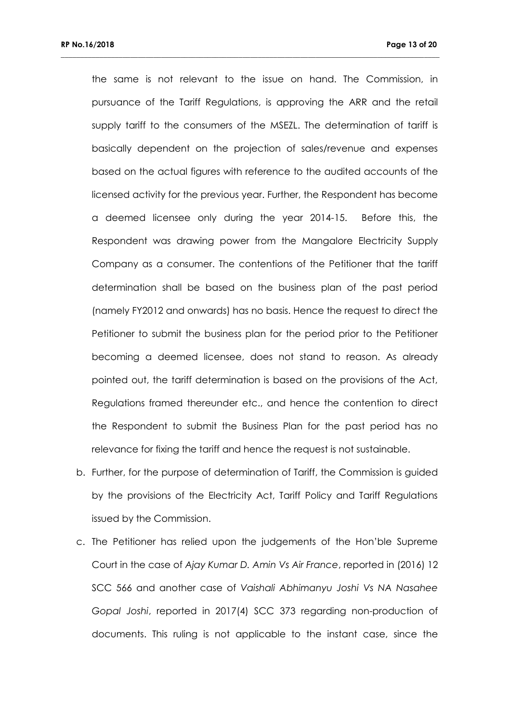the same is not relevant to the issue on hand. The Commission, in pursuance of the Tariff Regulations, is approving the ARR and the retail supply tariff to the consumers of the MSEZL. The determination of tariff is basically dependent on the projection of sales/revenue and expenses based on the actual figures with reference to the audited accounts of the licensed activity for the previous year. Further, the Respondent has become a deemed licensee only during the year 2014-15. Before this, the Respondent was drawing power from the Mangalore Electricity Supply Company as a consumer. The contentions of the Petitioner that the tariff determination shall be based on the business plan of the past period (namely FY2012 and onwards) has no basis. Hence the request to direct the Petitioner to submit the business plan for the period prior to the Petitioner becoming a deemed licensee, does not stand to reason. As already pointed out, the tariff determination is based on the provisions of the Act, Regulations framed thereunder etc., and hence the contention to direct the Respondent to submit the Business Plan for the past period has no relevance for fixing the tariff and hence the request is not sustainable.

- b. Further, for the purpose of determination of Tariff, the Commission is guided by the provisions of the Electricity Act, Tariff Policy and Tariff Regulations issued by the Commission.
- c. The Petitioner has relied upon the judgements of the Hon'ble Supreme Court in the case of *Ajay Kumar D. Amin Vs Air France*, reported in (2016) 12 SCC 566 and another case of *Vaishali Abhimanyu Joshi Vs NA Nasahee Gopal Joshi*, reported in 2017(4) SCC 373 regarding non-production of documents. This ruling is not applicable to the instant case, since the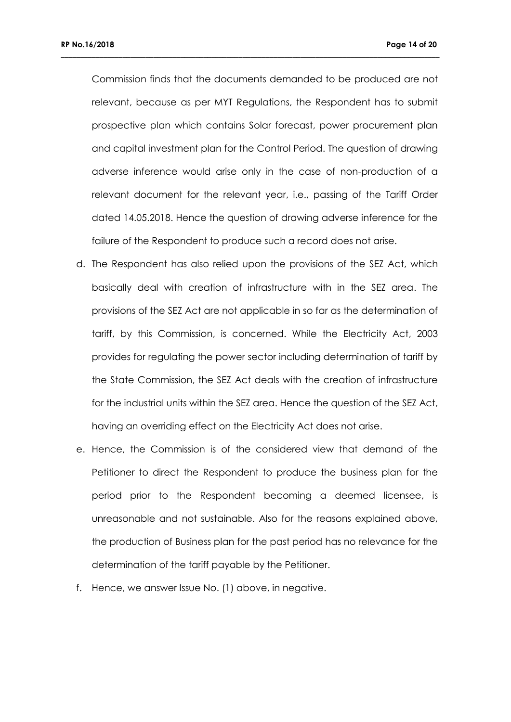Commission finds that the documents demanded to be produced are not relevant, because as per MYT Regulations, the Respondent has to submit prospective plan which contains Solar forecast, power procurement plan and capital investment plan for the Control Period. The question of drawing adverse inference would arise only in the case of non-production of a relevant document for the relevant year, i.e., passing of the Tariff Order dated 14.05.2018. Hence the question of drawing adverse inference for the failure of the Respondent to produce such a record does not arise.

- d. The Respondent has also relied upon the provisions of the SEZ Act, which basically deal with creation of infrastructure with in the SEZ area. The provisions of the SEZ Act are not applicable in so far as the determination of tariff, by this Commission, is concerned. While the Electricity Act, 2003 provides for regulating the power sector including determination of tariff by the State Commission, the SEZ Act deals with the creation of infrastructure for the industrial units within the SEZ area. Hence the question of the SEZ Act, having an overriding effect on the Electricity Act does not arise.
- e. Hence, the Commission is of the considered view that demand of the Petitioner to direct the Respondent to produce the business plan for the period prior to the Respondent becoming a deemed licensee, is unreasonable and not sustainable. Also for the reasons explained above, the production of Business plan for the past period has no relevance for the determination of the tariff payable by the Petitioner.
- f. Hence, we answer Issue No. (1) above, in negative.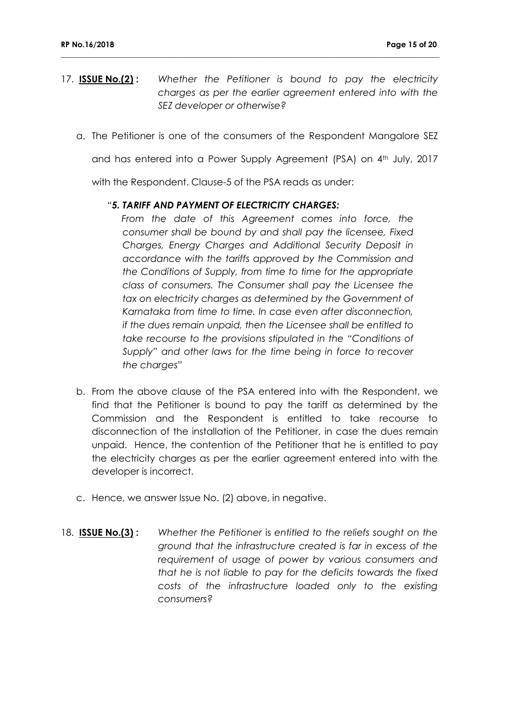17. **ISSUE No.(2) :** *Whether the Petitioner is bound to pay the electricity charges as per the earlier agreement entered into with the SEZ developer or otherwise?*

**\_\_\_\_\_\_\_\_\_\_\_\_\_\_\_\_\_\_\_\_\_\_\_\_\_\_\_\_\_\_\_\_\_\_\_\_\_\_\_\_\_\_\_\_\_\_\_\_\_\_\_\_\_\_\_\_\_\_\_\_\_\_\_\_\_\_\_\_\_\_\_\_\_\_\_\_\_\_\_\_\_\_\_\_\_\_\_\_\_\_\_\_\_\_\_\_\_\_**

a. The Petitioner is one of the consumers of the Respondent Mangalore SEZ

and has entered into a Power Supply Agreement (PSA) on 4<sup>th</sup> July, 2017

with the Respondent. Clause-5 of the PSA reads as under:

#### *"5. TARIFF AND PAYMENT OF ELECTRICITY CHARGES:*

*From the date of this Agreement comes into force, the consumer shall be bound by and shall pay the licensee, Fixed Charges, Energy Charges and Additional Security Deposit in accordance with the tariffs approved by the Commission and the Conditions of Supply, from time to time for the appropriate class of consumers. The Consumer shall pay the Licensee the tax on electricity charges as determined by the Government of Karnataka from time to time. In case even after disconnection, if the dues remain unpaid, then the Licensee shall be entitled to take recourse to the provisions stipulated in the "Conditions of Supply" and other laws for the time being in force to recover the charges"*

- b. From the above clause of the PSA entered into with the Respondent, we find that the Petitioner is bound to pay the tariff as determined by the Commission and the Respondent is entitled to take recourse to disconnection of the installation of the Petitioner, in case the dues remain unpaid. Hence, the contention of the Petitioner that he is entitled to pay the electricity charges as per the earlier agreement entered into with the developer is incorrect.
- c. Hence, we answer Issue No. (2) above, in negative.
- 18. **ISSUE No.(3)**: Whether the Petitioner is entitled to the reliefs sought on the *ground that the infrastructure created is far in excess of the requirement of usage of power by various consumers and that he is not liable to pay for the deficits towards the fixed costs of the infrastructure loaded only to the existing consumers?*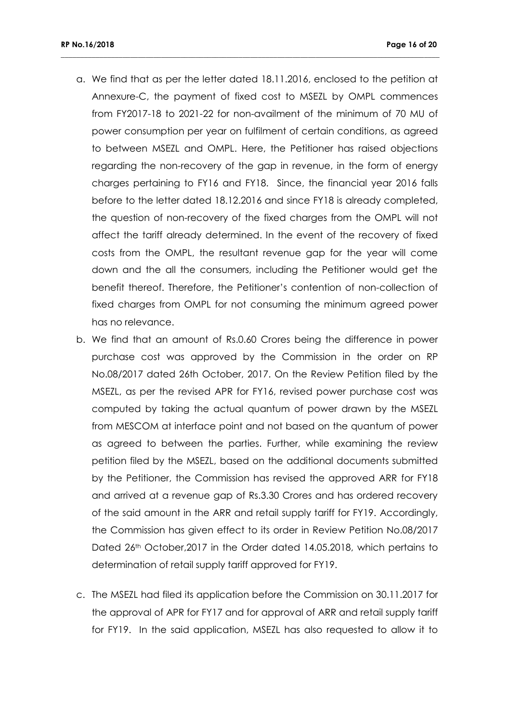a. We find that as per the letter dated 18.11.2016, enclosed to the petition at Annexure-C, the payment of fixed cost to MSEZL by OMPL commences from FY2017-18 to 2021-22 for non-availment of the minimum of 70 MU of power consumption per year on fulfilment of certain conditions, as agreed to between MSEZL and OMPL. Here, the Petitioner has raised objections regarding the non-recovery of the gap in revenue, in the form of energy charges pertaining to FY16 and FY18. Since, the financial year 2016 falls before to the letter dated 18.12.2016 and since FY18 is already completed, the question of non-recovery of the fixed charges from the OMPL will not affect the tariff already determined. In the event of the recovery of fixed costs from the OMPL, the resultant revenue gap for the year will come down and the all the consumers, including the Petitioner would get the benefit thereof. Therefore, the Petitioner's contention of non-collection of fixed charges from OMPL for not consuming the minimum agreed power has no relevance.

- b. We find that an amount of Rs.0.60 Crores being the difference in power purchase cost was approved by the Commission in the order on RP No.08/2017 dated 26th October, 2017. On the Review Petition filed by the MSEZL, as per the revised APR for FY16, revised power purchase cost was computed by taking the actual quantum of power drawn by the MSEZL from MESCOM at interface point and not based on the quantum of power as agreed to between the parties. Further, while examining the review petition filed by the MSEZL, based on the additional documents submitted by the Petitioner, the Commission has revised the approved ARR for FY18 and arrived at a revenue gap of Rs.3.30 Crores and has ordered recovery of the said amount in the ARR and retail supply tariff for FY19. Accordingly, the Commission has given effect to its order in Review Petition No.08/2017 Dated 26th October, 2017 in the Order dated 14.05.2018, which pertains to determination of retail supply tariff approved for FY19.
- c. The MSEZL had filed its application before the Commission on 30.11.2017 for the approval of APR for FY17 and for approval of ARR and retail supply tariff for FY19. In the said application, MSEZL has also requested to allow it to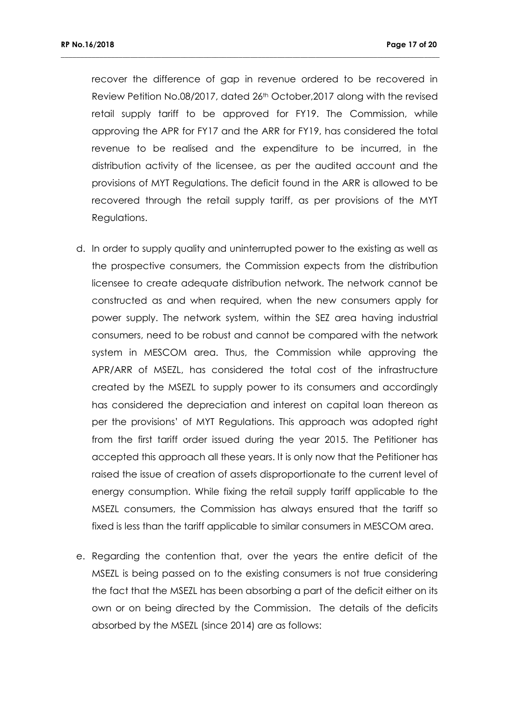recover the difference of gap in revenue ordered to be recovered in Review Petition No.08/2017, dated 26<sup>th</sup> October, 2017 along with the revised retail supply tariff to be approved for FY19. The Commission, while approving the APR for FY17 and the ARR for FY19, has considered the total revenue to be realised and the expenditure to be incurred, in the distribution activity of the licensee, as per the audited account and the provisions of MYT Regulations. The deficit found in the ARR is allowed to be recovered through the retail supply tariff, as per provisions of the MYT Regulations.

- d. In order to supply quality and uninterrupted power to the existing as well as the prospective consumers, the Commission expects from the distribution licensee to create adequate distribution network. The network cannot be constructed as and when required, when the new consumers apply for power supply. The network system, within the SEZ area having industrial consumers, need to be robust and cannot be compared with the network system in MESCOM area. Thus, the Commission while approving the APR/ARR of MSEZL, has considered the total cost of the infrastructure created by the MSEZL to supply power to its consumers and accordingly has considered the depreciation and interest on capital loan thereon as per the provisions' of MYT Regulations. This approach was adopted right from the first tariff order issued during the year 2015. The Petitioner has accepted this approach all these years. It is only now that the Petitioner has raised the issue of creation of assets disproportionate to the current level of energy consumption. While fixing the retail supply tariff applicable to the MSEZL consumers, the Commission has always ensured that the tariff so fixed is less than the tariff applicable to similar consumers in MESCOM area.
- e. Regarding the contention that, over the years the entire deficit of the MSEZL is being passed on to the existing consumers is not true considering the fact that the MSEZL has been absorbing a part of the deficit either on its own or on being directed by the Commission. The details of the deficits absorbed by the MSEZL (since 2014) are as follows: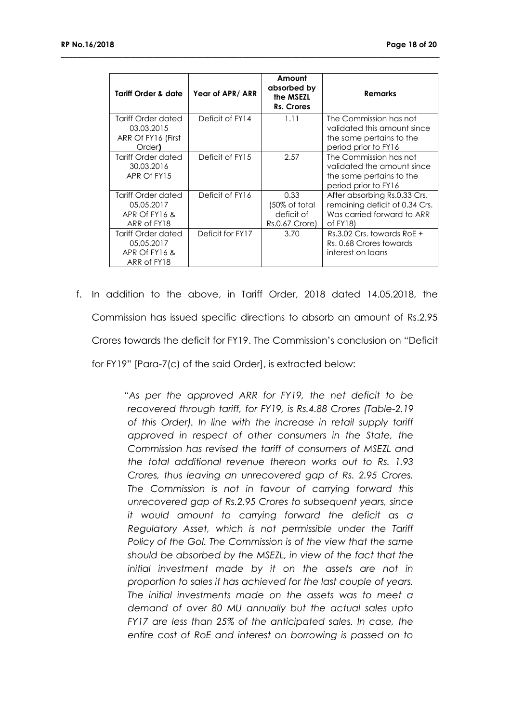| Tariff Order & date                                                      | Year of APR/ARR  | Amount<br>absorbed by<br>the MSEZL<br>Rs. Crores      | <b>Remarks</b>                                                                                            |
|--------------------------------------------------------------------------|------------------|-------------------------------------------------------|-----------------------------------------------------------------------------------------------------------|
| Tariff Order dated<br>03.03.2015<br>ARR Of FY16 (First<br>Order <b>)</b> | Deficit of FY14  | 1.11                                                  | The Commission has not<br>validated this amount since<br>the same pertains to the<br>period prior to FY16 |
| Tariff Order dated<br>30.03.2016<br>APR Of FY15                          | Deficit of FY15  | 2.57                                                  | The Commission has not<br>validated the amount since<br>the same pertains to the<br>period prior to FY16  |
| Tariff Order dated<br>05.05.2017<br>APR Of FY16 &<br>ARR of FY18         | Deficit of FY16  | 0.33<br>(50% of total<br>deficit of<br>Rs.0.67 Crore) | After absorbing Rs.0.33 Crs.<br>remaining deficit of 0.34 Crs.<br>Was carried forward to ARR<br>of FY18)  |
| Tariff Order dated<br>05.05.2017<br>APR Of FY16 &<br>ARR of FY18         | Deficit for FY17 | 3.70                                                  | $Rs.3.02$ Crs. towards RoE +<br>Rs. 0.68 Crores towards<br>interest on loans                              |

**\_\_\_\_\_\_\_\_\_\_\_\_\_\_\_\_\_\_\_\_\_\_\_\_\_\_\_\_\_\_\_\_\_\_\_\_\_\_\_\_\_\_\_\_\_\_\_\_\_\_\_\_\_\_\_\_\_\_\_\_\_\_\_\_\_\_\_\_\_\_\_\_\_\_\_\_\_\_\_\_\_\_\_\_\_\_\_\_\_\_\_\_\_\_\_\_\_\_**

f. In addition to the above, in Tariff Order, 2018 dated 14.05.2018, the Commission has issued specific directions to absorb an amount of Rs.2.95 Crores towards the deficit for FY19. The Commission's conclusion on "Deficit for FY19" [Para-7(c) of the said Order], is extracted below:

> *"As per the approved ARR for FY19, the net deficit to be recovered through tariff, for FY19, is Rs.4.88 Crores (Table-2.19 of this Order). In line with the increase in retail supply tariff approved in respect of other consumers in the State, the Commission has revised the tariff of consumers of MSEZL and the total additional revenue thereon works out to Rs. 1.93 Crores, thus leaving an unrecovered gap of Rs. 2.95 Crores. The Commission is not in favour of carrying forward this unrecovered gap of Rs.2.95 Crores to subsequent years, since it would amount to carrying forward the deficit as a Regulatory Asset, which is not permissible under the Tariff Policy of the GoI. The Commission is of the view that the same should be absorbed by the MSEZL, in view of the fact that the initial investment made by it on the assets are not in proportion to sales it has achieved for the last couple of years. The initial investments made on the assets was to meet a demand of over 80 MU annually but the actual sales upto FY17 are less than 25% of the anticipated sales. In case, the entire cost of RoE and interest on borrowing is passed on to*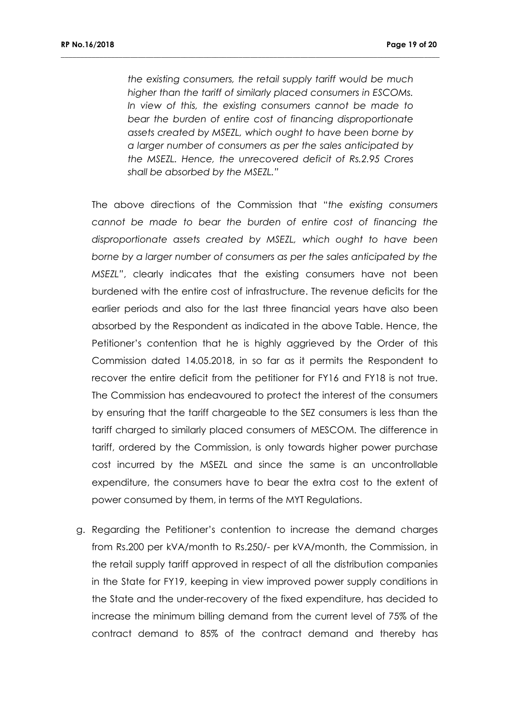*the existing consumers, the retail supply tariff would be much higher than the tariff of similarly placed consumers in ESCOMs. In view of this, the existing consumers cannot be made to bear the burden of entire cost of financing disproportionate assets created by MSEZL, which ought to have been borne by a larger number of consumers as per the sales anticipated by the MSEZL. Hence, the unrecovered deficit of Rs.2.95 Crores shall be absorbed by the MSEZL."*

**\_\_\_\_\_\_\_\_\_\_\_\_\_\_\_\_\_\_\_\_\_\_\_\_\_\_\_\_\_\_\_\_\_\_\_\_\_\_\_\_\_\_\_\_\_\_\_\_\_\_\_\_\_\_\_\_\_\_\_\_\_\_\_\_\_\_\_\_\_\_\_\_\_\_\_\_\_\_\_\_\_\_\_\_\_\_\_\_\_\_\_\_\_\_\_\_\_\_**

The above directions of the Commission that "*the existing consumers cannot be made to bear the burden of entire cost of financing the disproportionate assets created by MSEZL, which ought to have been borne by a larger number of consumers as per the sales anticipated by the MSEZL"*, clearly indicates that the existing consumers have not been burdened with the entire cost of infrastructure. The revenue deficits for the earlier periods and also for the last three financial years have also been absorbed by the Respondent as indicated in the above Table. Hence, the Petitioner's contention that he is highly aggrieved by the Order of this Commission dated 14.05.2018, in so far as it permits the Respondent to recover the entire deficit from the petitioner for FY16 and FY18 is not true. The Commission has endeavoured to protect the interest of the consumers by ensuring that the tariff chargeable to the SEZ consumers is less than the tariff charged to similarly placed consumers of MESCOM. The difference in tariff, ordered by the Commission, is only towards higher power purchase cost incurred by the MSEZL and since the same is an uncontrollable expenditure, the consumers have to bear the extra cost to the extent of power consumed by them, in terms of the MYT Regulations.

g. Regarding the Petitioner's contention to increase the demand charges from Rs.200 per kVA/month to Rs.250/- per kVA/month, the Commission, in the retail supply tariff approved in respect of all the distribution companies in the State for FY19, keeping in view improved power supply conditions in the State and the under-recovery of the fixed expenditure, has decided to increase the minimum billing demand from the current level of 75% of the contract demand to 85% of the contract demand and thereby has